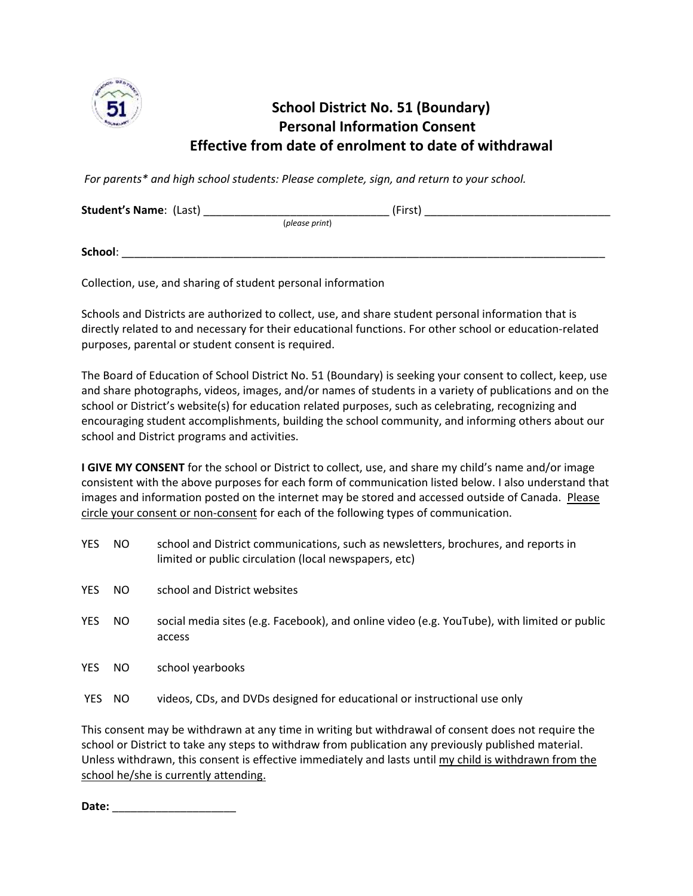

## **School District No. 51 (Boundary) Personal Information Consent Effective from date of enrolment to date of withdrawal**

*For parents\* and high school students: Please complete, sign, and return to your school.*

| <b>Student's Name: (Last)</b> |                | (First) |  |
|-------------------------------|----------------|---------|--|
|                               | (please print) |         |  |
| School:                       |                |         |  |

Collection, use, and sharing of student personal information

Schools and Districts are authorized to collect, use, and share student personal information that is directly related to and necessary for their educational functions. For other school or education-related purposes, parental or student consent is required.

The Board of Education of School District No. 51 (Boundary) is seeking your consent to collect, keep, use and share photographs, videos, images, and/or names of students in a variety of publications and on the school or District's website(s) for education related purposes, such as celebrating, recognizing and encouraging student accomplishments, building the school community, and informing others about our school and District programs and activities.

**I GIVE MY CONSENT** for the school or District to collect, use, and share my child's name and/or image consistent with the above purposes for each form of communication listed below. I also understand that images and information posted on the internet may be stored and accessed outside of Canada. Please circle your consent or non-consent for each of the following types of communication.

| <b>YES</b> | NO. | school and District communications, such as newsletters, brochures, and reports in<br>limited or public circulation (local newspapers, etc) |
|------------|-----|---------------------------------------------------------------------------------------------------------------------------------------------|
| <b>YES</b> | NO. | school and District websites                                                                                                                |
| <b>YES</b> | NO. | social media sites (e.g. Facebook), and online video (e.g. YouTube), with limited or public<br>access                                       |
| <b>YES</b> | NO. | school yearbooks                                                                                                                            |
| YES.       | NO. | videos, CDs, and DVDs designed for educational or instructional use only                                                                    |

This consent may be withdrawn at any time in writing but withdrawal of consent does not require the school or District to take any steps to withdraw from publication any previously published material. Unless withdrawn, this consent is effective immediately and lasts until my child is withdrawn from the school he/she is currently attending.

**Date:** \_\_\_\_\_\_\_\_\_\_\_\_\_\_\_\_\_\_\_\_